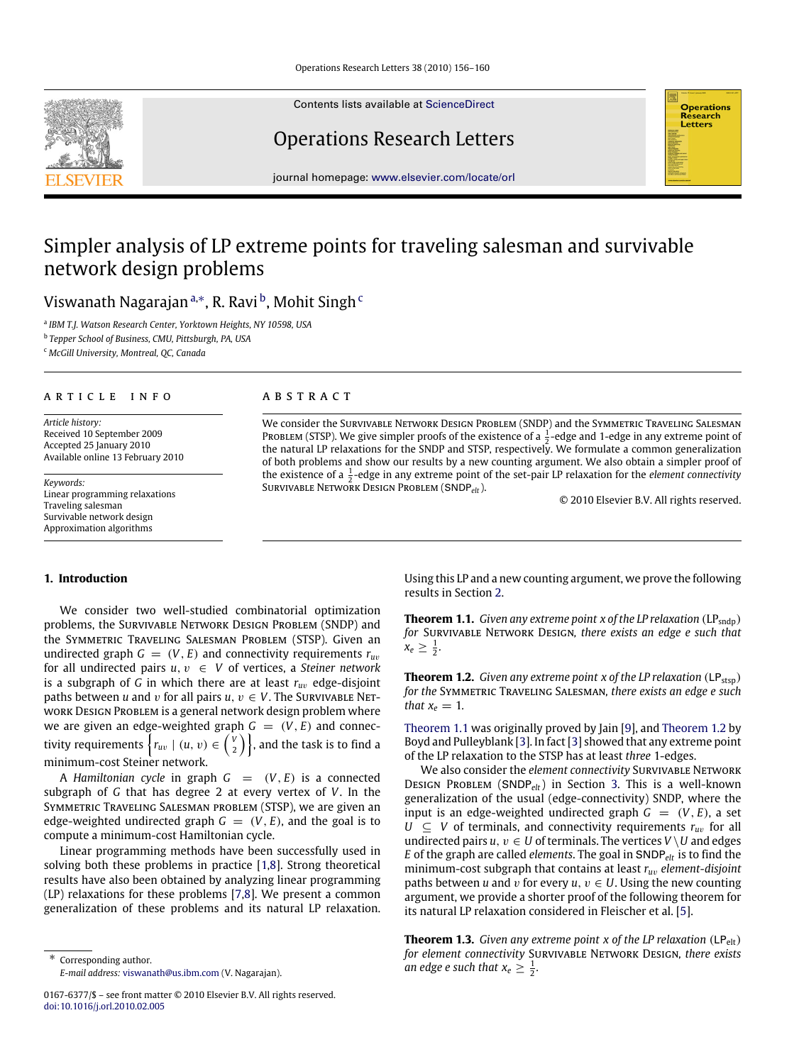Contents lists available at [ScienceDirect](http://www.elsevier.com/locate/orl)

## Operations Research Letters

journal homepage: [www.elsevier.com/locate/orl](http://www.elsevier.com/locate/orl)

# Simpler analysis of LP extreme points for traveling salesman and survivable network design problems

Viswanath Nagarajan <sup>[a,](#page-0-0)</sup>\*, R. Ravi <sup>[b](#page-0-2)</sup>, Mohit Singh <sup>[c](#page-0-3)</sup>

<span id="page-0-0"></span>a *IBM T.J. Watson Research Center, Yorktown Heights, NY 10598, USA*

<span id="page-0-2"></span>b *Tepper School of Business, CMU, Pittsburgh, PA, USA*

<span id="page-0-3"></span><sup>c</sup> *McGill University, Montreal, QC, Canada*

## ARTICLE INFO

*Article history:* Received 10 September 2009 Accepted 25 January 2010 Available online 13 February 2010

*Keywords:* Linear programming relaxations Traveling salesman Survivable network design Approximation algorithms

#### A B S T R A C T

We consider the Survivable Network Design Problem (SNDP) and the Symmetric Traveling Salesman PROBLEM (STSP). We give simpler proofs of the existence of a  $\frac{1}{2}$ -edge and 1-edge in any extreme point of the natural LP relaxations for the SNDP and STSP, respectively. We formulate a common generalization of both problems and show our results by a new counting argument. We also obtain a simpler proof of the existence of a  $\frac{1}{2}$ -edge in any extreme point of the set-pair LP relaxation for the *element connectivity* Survivable Network Design Problem (SNDP*elt*).

© 2010 Elsevier B.V. All rights reserved.

**Operations** Research Letters

## **1. Introduction**

We consider two well-studied combinatorial optimization problems, the Survivable Network Design Problem (SNDP) and the Symmetric Traveling Salesman Problem (STSP). Given an undirected graph  $G = (V, E)$  and connectivity requirements  $r_{uv}$ for all undirected pairs  $u, v \in V$  of vertices, a *Steiner network* is a subgraph of *G* in which there are at least *ru*v edge-disjoint paths between *u* and *v* for all pairs  $u, v \in V$ . The SURVIVABLE NETwork Design Problem is a general network design problem where we are given an edge-weighted graph  $G = (V, E)$  and connectivity requirements  $\Big\{ r_{uv} \mid (u,\, v) \in {V \choose 2} \Big\}$ , and the task is to find a minimum-cost Steiner network.

A *Hamiltonian cycle* in graph  $G = (V, E)$  is a connected subgraph of *G* that has degree 2 at every vertex of *V*. In the Symmetric Traveling Salesman problem (STSP), we are given an edge-weighted undirected graph  $G = (V, E)$ , and the goal is to compute a minimum-cost Hamiltonian cycle.

Linear programming methods have been successfully used in solving both these problems in practice [\[1](#page-4-0)[,8\]](#page-4-1). Strong theoretical results have also been obtained by analyzing linear programming (LP) relaxations for these problems [\[7](#page-4-2)[,8\]](#page-4-1). We present a common generalization of these problems and its natural LP relaxation.

<span id="page-0-1"></span>Corresponding author. *E-mail address:* [viswanath@us.ibm.com](mailto:viswanath@us.ibm.com) (V. Nagarajan). Using this LP and a new counting argument, we prove the following results in Section [2.](#page-1-0)

<span id="page-0-4"></span>**Theorem 1.1.** *Given any extreme point x of the LP relaxation*  $(LP_{\text{sndp}})$ *for* Survivable Network Design*, there exists an edge e such that*  $x_e \geq \frac{1}{2}$ .

<span id="page-0-5"></span>**Theorem 1.2.** *Given any extreme point x of the LP relaxation*  $(LP_{\text{stsn}})$ *for the* Symmetric Traveling Salesman*, there exists an edge e such that*  $x_e = 1$ *.* 

[Theorem 1.1](#page-0-4) was originally proved by Jain [\[9\]](#page-4-3), and [Theorem 1.2](#page-0-5) by Boyd and Pulleyblank [\[3\]](#page-4-4). In fact [\[3\]](#page-4-4) showed that any extreme point of the LP relaxation to the STSP has at least *three* 1-edges.

We also consider the *element connectivity* SURVIVABLE NETWORK Design Problem (SNDP*elt*) in Section [3.](#page-2-0) This is a well-known generalization of the usual (edge-connectivity) SNDP, where the input is an edge-weighted undirected graph  $G = (V, E)$ , a set  $U \subseteq V$  of terminals, and connectivity requirements  $r_{uv}$  for all undirected pairs  $u, v \in U$  of terminals. The vertices  $V \setminus U$  and edges *E* of the graph are called *elements*. The goal in SNDP*elt* is to find the minimum-cost subgraph that contains at least *ru*v *element-disjoint* paths between *u* and *v* for every  $u, v \in U$ . Using the new counting argument, we provide a shorter proof of the following theorem for its natural LP relaxation considered in Fleischer et al. [\[5\]](#page-4-5).

<span id="page-0-6"></span>**Theorem 1.3.** *Given any extreme point x of the LP relaxation*  $(LP<sub>elt</sub>)$ *for element connectivity* Survivable Network Design*, there exists an edge e such that*  $x_e \geq \frac{1}{2}$ *.* 



<sup>0167-6377/\$ –</sup> see front matter © 2010 Elsevier B.V. All rights reserved. [doi:10.1016/j.orl.2010.02.005](http://dx.doi.org/10.1016/j.orl.2010.02.005)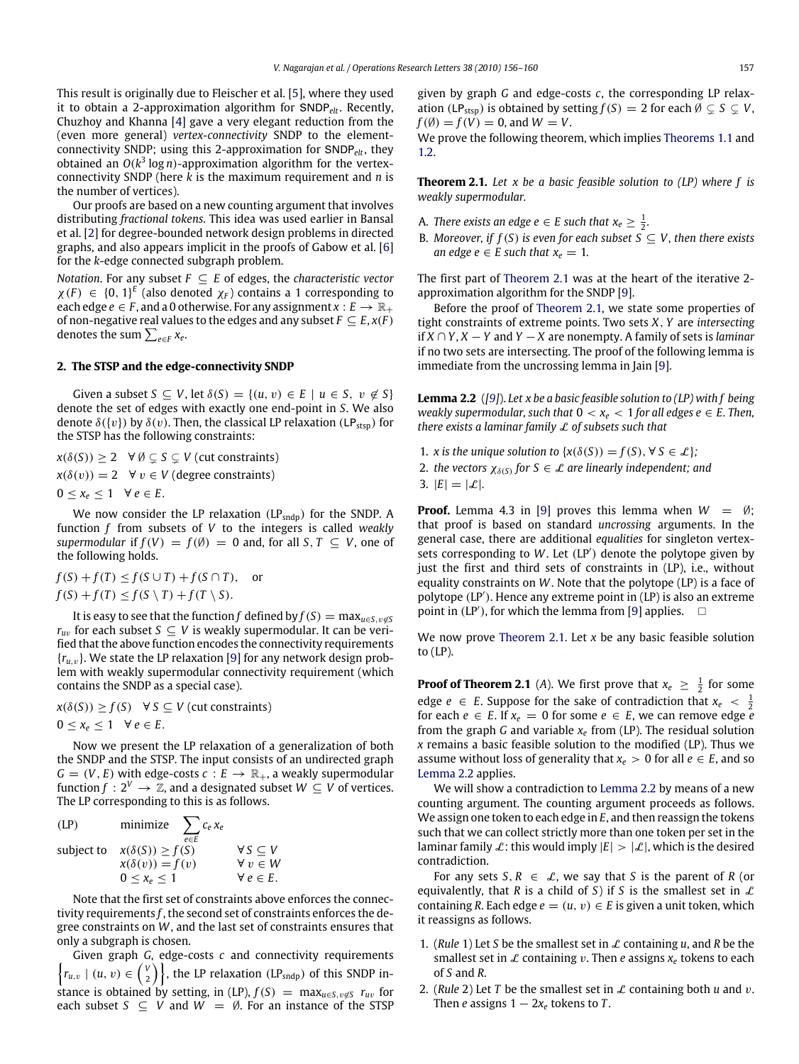This result is originally due to Fleischer et al. [\[5\]](#page-4-5), where they used it to obtain a 2-approximation algorithm for SNDP*elt*. Recently, Chuzhoy and Khanna [\[4\]](#page-4-6) gave a very elegant reduction from the (even more general) *vertex-connectivity* SNDP to the elementconnectivity SNDP; using this 2-approximation for SNDP*elt*, they obtained an *O*(*k* 3 log *n*)-approximation algorithm for the vertexconnectivity SNDP (here *k* is the maximum requirement and *n* is the number of vertices).

Our proofs are based on a new counting argument that involves distributing *fractional tokens*. This idea was used earlier in Bansal et al. [\[2\]](#page-4-7) for degree-bounded network design problems in directed graphs, and also appears implicit in the proofs of Gabow et al. [\[6\]](#page-4-8) for the *k*-edge connected subgraph problem.

*Notation*. For any subset *F* ⊆ *E* of edges, the *characteristic vector*  $\chi(F) \in \{0, 1\}^E$  (also denoted  $\chi_F$ ) contains a 1 corresponding to each edge  $e \in F$ , and a 0 otherwise. For any assignment  $x : E \to \mathbb{R}_+$ of non-negative real values to the edges and any subset  $F \subseteq E$ ,  $x(F)$ denotes the sum  $\sum_{e\in F} x_e.$ 

#### <span id="page-1-0"></span>**2. The STSP and the edge-connectivity SNDP**

Given a subset  $S \subseteq V$ , let  $\delta(S) = \{(u, v) \in E \mid u \in S, v \notin S\}$ denote the set of edges with exactly one end-point in *S*. We also denote  $\delta({v})$  by  $\delta(v)$ . Then, the classical LP relaxation (LP<sub>stsp</sub>) for the STSP has the following constraints:

 $x(\delta(S)) > 2 \quad \forall \emptyset \subset S \subset V$  (cut constraints)  $x(\delta(v)) = 2 \quad \forall v \in V$  (degree constraints)  $0 \leq x_e \leq 1 \quad \forall e \in E.$ 

We now consider the LP relaxation  $(LP_{\text{sndp}})$  for the SNDP. A function *f* from subsets of *V* to the integers is called *weakly supermodular* if  $f(V) = f(\emptyset) = 0$  and, for all  $S, T \subseteq V$ , one of the following holds.

*f*(*S*) + *f*(*T*) ≤ *f*(*S*∪*T*) + *f*(*S*∩*T*), or  $f(S) + f(T) \leq f(S \setminus T) + f(T \setminus S).$ 

It is easy to see that the function *f* defined by  $f(S) = \max_{u \in S, v \notin S}$ *r*<sub>*uv*</sub> for each subset *S*  $\subseteq$  *V* is weakly supermodular. It can be verified that the above function encodes the connectivity requirements  ${r_{u,v}}$ . We state the LP relaxation [\[9\]](#page-4-3) for any network design problem with weakly supermodular connectivity requirement (which contains the SNDP as a special case).

 $x(\delta(S)) \ge f(S)$   $\forall S \subseteq V$  (cut constraints)  $0 \leq x_e \leq 1 \quad \forall e \in E.$ 

Now we present the LP relaxation of a generalization of both the SNDP and the STSP. The input consists of an undirected graph  $G = (V, E)$  with edge-costs  $c : E \to \mathbb{R}_+$ , a weakly supermodular function  $f: 2^V \to \mathbb{Z}$ , and a designated subset  $W \subseteq V$  of vertices. The LP corresponding to this is as follows.

$$
\begin{array}{ll}\n\text{(LP)} & \text{minimize} & \sum_{e \in E} c_e x_e \\
\text{subject to} & x(\delta(S)) \ge f(S) & \forall S \subseteq V \\
& x(\delta(v)) = f(v) & \forall v \in W \\
0 \le x_e \le 1 & \forall e \in E.\n\end{array}
$$

Note that the first set of constraints above enforces the connectivity requirements *f* , the second set of constraints enforces the degree constraints on *W*, and the last set of constraints ensures that only a subgraph is chosen.

Given graph *G*, edge-costs *c* and connectivity requirements  $\{r_{u,v} \mid (u, v) \in {\binom{v}{2}}\}$ , the LP relaxation (LP<sub>sndp</sub>) of this SNDP instance is obtained by setting, in (LP),  $f(S) = \max_{u \in S, v \notin S} r_u$  for each subset  $S \subseteq V$  and  $W = \emptyset$ . For an instance of the STSP

given by graph *G* and edge-costs *c*, the corresponding LP relaxation (LP<sub>stsp</sub>) is obtained by setting  $f(S) = 2$  for each  $\emptyset \subsetneq S \subsetneq V$ ,  $f(\emptyset) = f(V) = 0$ , and  $W = V$ .

We prove the following theorem, which implies [Theorems 1.1](#page-0-4) and [1.2.](#page-0-5)

<span id="page-1-1"></span>**Theorem 2.1.** *Let x be a basic feasible solution to (LP) where f is weakly supermodular.*

- A. *There exists an edge e*  $\in$  *E* such that  $x_e \geq \frac{1}{2}$ .
- B. *Moreover, if*  $f(S)$  *is even for each subset*  $S \subseteq V$ *, then there exists an edge e*  $\in$  *E* such that  $x_e = 1$ .

The first part of [Theorem 2.1](#page-1-1) was at the heart of the iterative 2 approximation algorithm for the SNDP [\[9\]](#page-4-3).

Before the proof of [Theorem 2.1,](#page-1-1) we state some properties of tight constraints of extreme points. Two sets *X*, *Y* are *intersecting* if *X* ∩ *Y*, *X* − *Y* and *Y* − *X* are nonempty. A family of sets is *laminar* if no two sets are intersecting. The proof of the following lemma is immediate from the uncrossing lemma in Jain [\[9\]](#page-4-3).

<span id="page-1-2"></span>**Lemma 2.2** (*[\[9\]](#page-4-3)*). *Let x be a basic feasible solution to (LP) with f being weakly supermodular, such that*  $0 < x_e < 1$  *for all edges e*  $\in$  *E. Then, there exists a laminar family* L *of subsets such that*

1. *x* is the unique solution to  $\{x(\delta(S)) = f(S), \forall S \in \mathcal{L}\}\$ ; 2. *the vectors*  $\chi_{\delta(S)}$  for  $S \in \mathcal{L}$  are linearly independent; and 3.  $|E| = |\mathcal{L}|$ .

**Proof.** Lemma 4.3 in [\[9\]](#page-4-3) proves this lemma when  $W = \emptyset$ ; that proof is based on standard *uncrossing* arguments. In the general case, there are additional *equalities* for singleton vertexsets corresponding to W. Let (LP<sup>'</sup>) denote the polytope given by just the first and third sets of constraints in (LP), i.e., without equality constraints on *W*. Note that the polytope (LP) is a face of polytope (LP'). Hence any extreme point in (LP) is also an extreme point in  $(LP')$ , for which the lemma from [\[9\]](#page-4-3) applies.  $\square$ 

We now prove [Theorem 2.1.](#page-1-1) Let *x* be any basic feasible solution to (LP).

**Proof of Theorem 2.1** (*A*). We first prove that  $x_e \geq \frac{1}{2}$  for some edge *e*  $\in$  *E*. Suppose for the sake of contradiction that  $x_e \leq \frac{1}{2}$ for each  $e \in E$ . If  $x_e = 0$  for some  $e \in E$ , we can remove edge  $\overline{e}$ from the graph *G* and variable  $x_e$  from (LP). The residual solution *x* remains a basic feasible solution to the modified (LP). Thus we assume without loss of generality that  $x_e > 0$  for all  $e \in E$ , and so [Lemma 2.2](#page-1-2) applies.

We will show a contradiction to [Lemma 2.2](#page-1-2) by means of a new counting argument. The counting argument proceeds as follows. We assign one token to each edge in *E*, and then reassign the tokens such that we can collect strictly more than one token per set in the laminar family L: this would imply  $|E| > |\mathcal{L}|$ , which is the desired contradiction.

For any sets  $S, R \in \mathcal{L}$ , we say that *S* is the parent of *R* (or equivalently, that *R* is a child of *S*) if *S* is the smallest set in  $\mathcal{L}$ containing *R*. Each edge  $e = (u, v) \in E$  is given a unit token, which it reassigns as follows.

- 1. (*Rule* 1) Let *S* be the smallest set in L containing *u*, and *R* be the smallest set in  $\mathcal L$  containing  $v$ . Then *e* assigns  $x_e$  tokens to each of *S* and *R*.
- 2. (*Rule* 2) Let *T* be the smallest set in  $\mathcal L$  containing both *u* and *v*. Then *e* assigns  $1 - 2x_e$  tokens to *T*.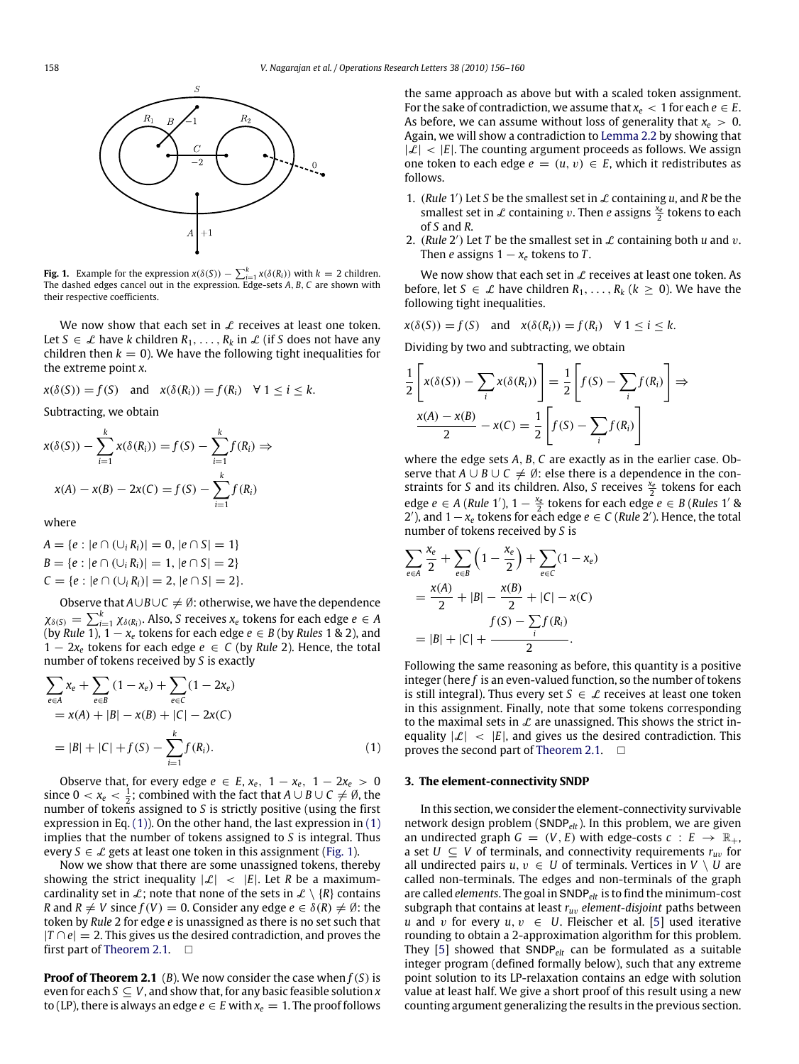<span id="page-2-2"></span>

**Fig. 1.** Example for the expression  $x(\delta(S)) - \sum_{i=1}^{k} x(\delta(R_i))$  with  $k = 2$  children. The dashed edges cancel out in the expression. Edge-sets *A*, *B*, *C* are shown with their respective coefficients.

We now show that each set in  $\mathcal L$  receives at least one token. Let *S* ∈  $\mathcal{L}$  have *k* children  $R_1, \ldots, R_k$  in  $\mathcal{L}$  (if *S* does not have any children then  $k = 0$ ). We have the following tight inequalities for the extreme point *x*.

$$
x(\delta(S)) = f(S)
$$
 and  $x(\delta(R_i)) = f(R_i) \quad \forall \ 1 \leq i \leq k.$ 

Subtracting, we obtain

$$
x(\delta(S)) - \sum_{i=1}^{k} x(\delta(R_i)) = f(S) - \sum_{i=1}^{k} f(R_i) \Rightarrow
$$
  

$$
x(A) - x(B) - 2x(C) = f(S) - \sum_{i=1}^{k} f(R_i)
$$

where

$$
A = \{e : |e \cap (\cup_i R_i)| = 0, |e \cap S| = 1\}
$$
  
\n
$$
B = \{e : |e \cap (\cup_i R_i)| = 1, |e \cap S| = 2\}
$$
  
\n
$$
C = \{e : |e \cap (\cup_i R_i)| = 2, |e \cap S| = 2\}.
$$

Observe that  $A \cup B \cup C \neq \emptyset$ : otherwise, we have the dependence  $\chi_{\delta(S)} = \sum_{i=1}^k \chi_{\delta(R_i)}$ . Also, *S* receives  $x_e$  tokens for each edge  $e \in A$ (by *Rule* 1),  $1 - x_e$  tokens for each edge  $e \in B$  (by *Rules* 1 & 2), and 1 − 2*x<sup>e</sup>* tokens for each edge *e* ∈ *C* (by *Rule* 2). Hence, the total number of tokens received by *S* is exactly

$$
\sum_{e \in A} x_e + \sum_{e \in B} (1 - x_e) + \sum_{e \in C} (1 - 2x_e)
$$
  
=  $x(A) + |B| - x(B) + |C| - 2x(C)$   
=  $|B| + |C| + f(S) - \sum_{i=1}^{k} f(R_i).$  (1)

Observe that, for every edge  $e \in E$ ,  $x_e$ ,  $1 - x_e$ ,  $1 - 2x_e > 0$ since  $0 < x_e < \frac{1}{2}$ ; combined with the fact that  $A \cup B \cup C \neq \emptyset$ , the number of tokens assigned to *S* is strictly positive (using the first expression in Eq. [\(1\)\)](#page-2-1). On the other hand, the last expression in [\(1\)](#page-2-1) implies that the number of tokens assigned to *S* is integral. Thus every  $S \in \mathcal{L}$  gets at least one token in this assignment [\(Fig. 1\)](#page-2-2).

Now we show that there are some unassigned tokens, thereby showing the strict inequality  $|\mathcal{L}| \leq |E|$ . Let *R* be a maximumcardinality set in L; note that none of the sets in  $\mathcal{L} \setminus \{R\}$  contains *R* and  $R \neq V$  since  $f(V) = 0$ . Consider any edge  $e \in \delta(R) \neq \emptyset$ : the token by *Rule* 2 for edge *e* is unassigned as there is no set such that  $|T \cap e| = 2$ . This gives us the desired contradiction, and proves the first part of [Theorem 2.1.](#page-1-1)  $\Box$ 

**Proof of Theorem 2.1** (*B*). We now consider the case when *f*(*S*) is even for each  $S \subseteq V$ , and show that, for any basic feasible solution  $x$ to (LP), there is always an edge  $e \in E$  with  $x_e = 1$ . The proof follows

the same approach as above but with a scaled token assignment. For the sake of contradiction, we assume that  $x_e$  < 1 for each  $e \in E$ . As before, we can assume without loss of generality that  $x_e > 0$ . Again, we will show a contradiction to [Lemma 2.2](#page-1-2) by showing that  $|\mathcal{L}|$  <  $|E|$ . The counting argument proceeds as follows. We assign one token to each edge  $e = (u, v) \in E$ , which it redistributes as follows.

- 1. (*Rule* 1') Let *S* be the smallest set in  $\mathcal L$  containing *u*, and *R* be the smallest set in  $\mathcal L$  containing v. Then *e* assigns  $\frac{x_e}{2}$  tokens to each of *S* and *R*.
- 2. (*Rule* 2') Let *T* be the smallest set in  $\mathcal L$  containing both  $u$  and  $v$ . Then *e* assigns  $1 - x_e$  tokens to *T*.

We now show that each set in  $\mathcal L$  receives at least one token. As before, let  $S \in \mathcal{L}$  have children  $R_1, \ldots, R_k$  ( $k \geq 0$ ). We have the following tight inequalities.

$$
x(\delta(S)) = f(S)
$$
 and  $x(\delta(R_i)) = f(R_i) \quad \forall \ 1 \leq i \leq k.$ 

Dividing by two and subtracting, we obtain

$$
\frac{1}{2}\left[x(\delta(S)) - \sum_{i} x(\delta(R_i))\right] = \frac{1}{2}\left[f(S) - \sum_{i} f(R_i)\right] \Rightarrow
$$

$$
\frac{x(A) - x(B)}{2} - x(C) = \frac{1}{2}\left[f(S) - \sum_{i} f(R_i)\right]
$$

where the edge sets *A*, *B*, *C* are exactly as in the earlier case. Observe that *A* ∪ *B* ∪ *C*  $\neq$  Ø: else there is a dependence in the constraints for *S* and its children. Also, *S* receives  $\frac{x_e}{2}$  tokens for each edge *e* ∈ *A* (*Rule* 1'),  $1 - \frac{x_e}{2}$  tokens for each edge *e* ∈ *B* (*Rules* 1' & 2'), and  $1 - x_e$  tokens for each edge  $e \in C$  (*Rule* 2'). Hence, the total number of tokens received by *S* is

$$
\sum_{e \in A} \frac{x_e}{2} + \sum_{e \in B} \left( 1 - \frac{x_e}{2} \right) + \sum_{e \in C} (1 - x_e)
$$
  
= 
$$
\frac{x(A)}{2} + |B| - \frac{x(B)}{2} + |C| - x(C)
$$
  

$$
f(S) - \sum_i f(R_i)
$$
  
= 
$$
|B| + |C| + \frac{1}{2}.
$$

Following the same reasoning as before, this quantity is a positive integer (here *f* is an even-valued function, so the number of tokens is still integral). Thus every set  $S \in \mathcal{L}$  receives at least one token in this assignment. Finally, note that some tokens corresponding to the maximal sets in  $\mathcal L$  are unassigned. This shows the strict inequality  $|\mathcal{L}| < |E|$ , and gives us the desired contradiction. This proves the second part of [Theorem 2.1.](#page-1-1)  $\Box$ 

#### <span id="page-2-1"></span><span id="page-2-0"></span>**3. The element-connectivity SNDP**

In this section, we consider the element-connectivity survivable network design problem (SNDP*elt*). In this problem, we are given an undirected graph  $G = (V, E)$  with edge-costs  $c : E \rightarrow \mathbb{R}_+$ , a set  $U \subseteq V$  of terminals, and connectivity requirements  $r_{uv}$  for all undirected pairs  $u, v \in U$  of terminals. Vertices in  $V \setminus U$  are called non-terminals. The edges and non-terminals of the graph are called *elements*. The goal in SNDP*elt* is to find the minimum-cost subgraph that contains at least *ru*v *element-disjoint* paths between *u* and *v* for every  $u, v \in U$ . Fleischer et al. [\[5\]](#page-4-5) used iterative rounding to obtain a 2-approximation algorithm for this problem. They [\[5\]](#page-4-5) showed that SNDP*elt* can be formulated as a suitable integer program (defined formally below), such that any extreme point solution to its LP-relaxation contains an edge with solution value at least half. We give a short proof of this result using a new counting argument generalizing the results in the previous section.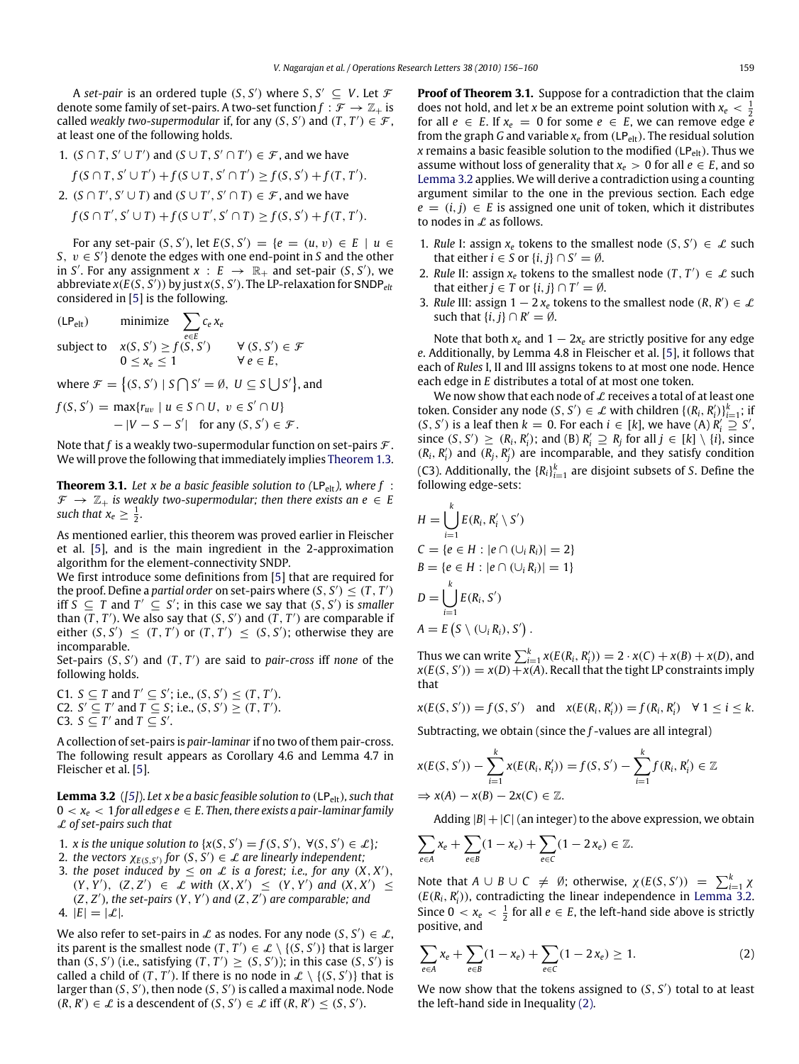A *set-pair* is an ordered tuple  $(S, S')$  where  $S, S' \subseteq V$ . Let  $\mathcal F$ denote some family of set-pairs. A two-set function  $f : \mathcal{F} \to \mathbb{Z}_+$  is called *weakly two-supermodular* if, for any  $(S, S')$  and  $(T, T') \in \mathcal{F}$ , at least one of the following holds.

\n- 1. 
$$
(S \cap T, S' \cup T')
$$
 and  $(S \cup T, S' \cap T') \in \mathcal{F}$ , and we have  $f(S \cap T, S' \cup T') + f(S \cup T, S' \cap T') \geq f(S, S') + f(T, T')$ .
\n- 2.  $(S \cap T', S' \cup T)$  and  $(S \cup T', S' \cap T) \in \mathcal{F}$ , and we have  $f(S \cap T', S' \cup T) + f(S \cup T', S' \cap T) \geq f(S, S') + f(T, T')$ .
\n

For any set-pair  $(S, S')$ , let  $E(S, S') = \{e = (u, v) \in E \mid u \in S\}$ *S*,  $v \in S'$  denote the edges with one end-point in *S* and the other in *S'*. For any assignment  $x : E \rightarrow \mathbb{R}_+$  and set-pair  $(S, S')$ , we abbreviate  $x(E(S, \overline{S}'))$  by just  $x(S, \overline{S}').$  The LP-relaxation for SNDP<sub>elt</sub> considered in [\[5\]](#page-4-5) is the following.

$$
\begin{array}{ll}\n\text{(LP_{elt})} & \text{minimize} \\
\text{subject to} & \chi(S, S') \ge f(S, S') \\
& 0 \le x_e \le 1\n\end{array}\n\quad\n\begin{array}{ll}\n\forall (S, S') \in \mathcal{F} \\
\forall e \in E,\n\end{array}
$$

where  $\mathcal{F} = \{(S, S') \mid S \cap S' = \emptyset, U \subseteq S \cup S'\}$ , and

$$
f(S, S') = \max\{r_{uv} \mid u \in S \cap U, v \in S' \cap U\}
$$
  
-|V - S - S'| for any  $(S, S') \in \mathcal{F}$ .

Note that  $f$  is a weakly two-supermodular function on set-pairs  $\mathcal F$ . We will prove the following that immediately implies [Theorem 1.3.](#page-0-6)

<span id="page-3-2"></span>**Theorem 3.1.** Let x be a basic feasible solution to ( $LP_{\text{elt}}$ ), where  $f$  :  $\mathcal{F} \rightarrow \mathbb{Z}_+$  *is weakly two-supermodular; then there exists an e*  $\in$  *E* such that  $x_e \geq \frac{1}{2}$ .

As mentioned earlier, this theorem was proved earlier in Fleischer et al. [\[5\]](#page-4-5), and is the main ingredient in the 2-approximation algorithm for the element-connectivity SNDP.

We first introduce some definitions from [\[5\]](#page-4-5) that are required for the proof. Define a *partial order* on set-pairs where  $(S, S') \leq (T, T')$ iff  $\overline{S}$  ⊆ *T* and  $T'$  ⊆ *S*'; in this case we say that  $(S, S')$  is *smaller* than  $(T, T')$ . We also say that  $(S, S')$  and  $(T, T')$  are comparable if either  $(S, S') \leq (T, T')$  or  $(T, T') \leq (S, S')$ ; otherwise they are incomparable.

Set-pairs  $(S, S')$  and  $(T, T')$  are said to *pair-cross* iff *none* of the following holds.

C1. *S* ⊆ *T* and *T'* ⊆ *S'*; i.e.,  $(S, S')$  ≤  $(T, T')$ . C2.  $S' \subseteq T'$  and  $T \subseteq S$ ; i.e.,  $(S, S') \geq (T, T')$ . C3. *S* ⊆ *T'* and *T* ⊆ *S'*.

A collection of set-pairs is *pair-laminar* if no two of them pair-cross. The following result appears as Corollary 4.6 and Lemma 4.7 in Fleischer et al. [\[5\]](#page-4-5).

<span id="page-3-0"></span>**Lemma 3.2** ([\[5\]](#page-4-5)). Let x be a basic feasible solution to (LP<sub>elt</sub>), such that  $0 < x_e < 1$  for all edges  $e \in E$ . Then, there exists a pair-laminar family L *of set-pairs such that*

- 1. *x* is the unique solution to  $\{x(S, S') = f(S, S'), \forall (S, S') \in \mathcal{L}\}\;$
- 2. *the vectors*  $\chi_{E(S,S')}$  for  $(S, S') \in \mathcal{L}$  are linearly independent;
- 3. *the poset induced by*  $\leq$  *on*  $\mathcal L$  *is a forest; i.e., for any*  $(X, X')$ ,  $(Y, Y')$ ,  $(Z, Z') \in \mathcal{L}$  *with*  $(X, X') \leq (Y, Y')$  *and*  $(X, X') \leq$  $(Z, Z')$ , the set-pairs  $(Y, Y')$  and  $(Z, Z')$  are comparable; and 4.  $|E| = |\mathcal{L}|.$

We also refer to set-pairs in  $\mathcal L$  as nodes. For any node  $(S, S') \in \mathcal L$ , its parent is the smallest node  $(T, T') \in \mathcal{L} \setminus \{(\dot{S}, \dot{S}')\}$  that is larger than  $(S, S')$  (i.e., satisfying  $(T, T') \geq (S, S')$ ); in this case  $(S, S')$  is called a child of  $(T, T')$ . If there is no node in  $\mathcal{L} \setminus \{ (S, S') \}$  that is larger than (*S*, *S'*), then node (*S*, *S'*) is called a maximal node. Node  $(R, R') \in \mathcal{L}$  is a descendent of  $(S, S') \in \mathcal{L}$  iff  $(R, R') \leq (S, S')$ .

**Proof of Theorem 3.1.** Suppose for a contradiction that the claim does not hold, and let *x* be an extreme point solution with  $x_e < \frac{1}{2}$ for all  $e \in E$ . If  $x_e = 0$  for some  $e \in E$ , we can remove edge *e* from the graph *G* and variable  $x_e$  from (LP<sub>elt</sub>). The residual solution *x* remains a basic feasible solution to the modified  $(LP_{\text{elt}})$ . Thus we assume without loss of generality that  $x_e > 0$  for all  $e \in E$ , and so [Lemma 3.2](#page-3-0) applies. We will derive a contradiction using a counting argument similar to the one in the previous section. Each edge  $e = (i, j) \in E$  is assigned one unit of token, which it distributes to nodes in  $\mathcal L$  as follows.

- 1. *Rule* I: assign  $x_e$  tokens to the smallest node  $(S, S') \in \mathcal{L}$  such that either  $i \in S$  or  $\{i, j\} \cap S' = \emptyset$ .
- 2. *Rule* II: assign  $x_e$  tokens to the smallest node  $(T, T') \in \mathcal{L}$  such that either  $j \in T$  or  $\{i, j\} \cap T' = \emptyset$ .
- 3. *Rule* III: assign  $1 2x_e$  tokens to the smallest node  $(R, R') \in \mathcal{L}$ such that  $\{i, j\} \cap R' = \emptyset$ .

Note that both  $x_e$  and  $1 - 2x_e$  are strictly positive for any edge *e*. Additionally, by Lemma 4.8 in Fleischer et al. [\[5\]](#page-4-5), it follows that each of *Rules* I, II and III assigns tokens to at most one node. Hence each edge in *E* distributes a total of at most one token.

We now show that each node of  $\mathcal L$  receives a total of at least one token. Consider any node  $(S, S') \in \mathcal{L}$  with children  $\{(R_i, R'_i)\}_{i=1}^k$ ; if  $(S, S')$  is a leaf then  $k = 0$ . For each  $i \in [k]$ , we have  $(A) R'_i \supseteq S'$ , since  $(S, S') \ge (R_i, R'_i)$ ; and  $(B) R'_i \supseteq R_j$  for all  $j \in [k] \setminus \{i\}$ , since  $(R_i, R'_i)$  and  $(R_j, R'_j)$  are incomparable, and they satisfy condition (C3). Additionally, the  ${R_i}_{i=1}^k$  are disjoint subsets of *S*. Define the following edge-sets:

$$
H = \bigcup_{i=1}^{k} E(R_i, R'_i \setminus S')
$$
  
\n
$$
C = \{e \in H : |e \cap (\cup_i R_i)| = 2\}
$$
  
\n
$$
B = \{e \in H : |e \cap (\cup_i R_i)| = 1\}
$$
  
\n
$$
D = \bigcup_{i=1}^{k} E(R_i, S')
$$
  
\n
$$
A = E(S \setminus (\cup_i R_i), S').
$$

Thus we can write  $\sum_{i=1}^{k} x(E(R_i, R'_i)) = 2 \cdot x(C) + x(B) + x(D)$ , and  $x(E(S, S')) = x(D) + x(A)$ . Recall that the tight LP constraints imply that

 $x(E(S, S')) = f(S, S')$  and  $x(E(R_i, R'_i)) = f(R_i, R'_i) \quad \forall 1 \le i \le k$ .

Subtracting, we obtain (since the *f* -values are all integral)

$$
x(E(S, S')) - \sum_{i=1}^{k} x(E(R_i, R'_i)) = f(S, S') - \sum_{i=1}^{k} f(R_i, R'_i) \in \mathbb{Z}
$$
  
\n
$$
\Rightarrow x(A) - x(B) - 2x(C) \in \mathbb{Z}.
$$

Adding  $|B|+|C|$  (an integer) to the above expression, we obtain

$$
\sum_{e\in A}x_e+\sum_{e\in B}(1-x_e)+\sum_{e\in C}(1-2x_e)\in\mathbb{Z}.
$$

Note that  $A \cup B \cup C \neq \emptyset$ ; otherwise,  $\chi(E(S, S')) = \sum_{i=1}^{k} \chi(i)$  $(E(R_i, R'_i))$ , contradicting the linear independence in [Lemma 3.2.](#page-3-0) Since  $0 < x_e < \frac{1}{2}$  for all  $e \in E$ , the left-hand side above is strictly positive, and

<span id="page-3-1"></span>
$$
\sum_{e \in A} x_e + \sum_{e \in B} (1 - x_e) + \sum_{e \in C} (1 - 2x_e) \ge 1.
$$
 (2)

We now show that the tokens assigned to  $(S, S')$  total to at least the left-hand side in Inequality [\(2\).](#page-3-1)